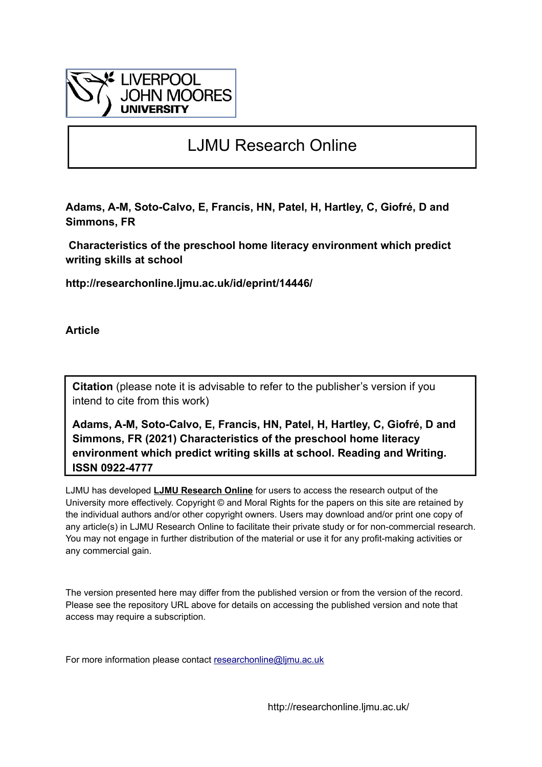

# LJMU Research Online

**Adams, A-M, Soto-Calvo, E, Francis, HN, Patel, H, Hartley, C, Giofré, D and Simmons, FR**

 **Characteristics of the preschool home literacy environment which predict writing skills at school**

**http://researchonline.ljmu.ac.uk/id/eprint/14446/**

**Article**

**Citation** (please note it is advisable to refer to the publisher's version if you intend to cite from this work)

**Adams, A-M, Soto-Calvo, E, Francis, HN, Patel, H, Hartley, C, Giofré, D and Simmons, FR (2021) Characteristics of the preschool home literacy environment which predict writing skills at school. Reading and Writing. ISSN 0922-4777** 

LJMU has developed **[LJMU Research Online](http://researchonline.ljmu.ac.uk/)** for users to access the research output of the University more effectively. Copyright © and Moral Rights for the papers on this site are retained by the individual authors and/or other copyright owners. Users may download and/or print one copy of any article(s) in LJMU Research Online to facilitate their private study or for non-commercial research. You may not engage in further distribution of the material or use it for any profit-making activities or any commercial gain.

The version presented here may differ from the published version or from the version of the record. Please see the repository URL above for details on accessing the published version and note that access may require a subscription.

For more information please contact researchonline@limu.ac.uk

http://researchonline.ljmu.ac.uk/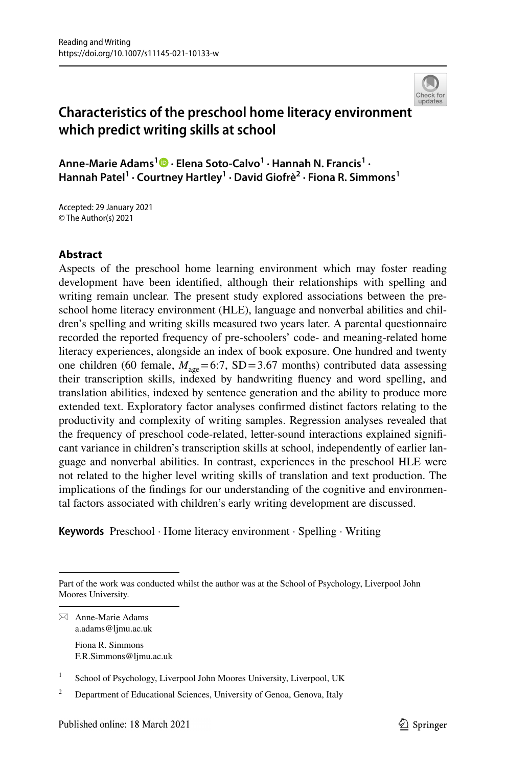

# **Characteristics of the preschool home literacy environmen[t](http://crossmark.crossref.org/dialog/?doi=10.1007/s11145-021-10133-w&domain=pdf)  which predict writing skills at school**

**Anne‑Marie Adams[1](http://orcid.org/0000-0002-7534-3388) · Elena Soto‑Calvo1 · Hannah N. Francis1 · Hannah Patel1 · Courtney Hartley1 · David Giofrè2 · Fiona R. Simmons1**

Accepted: 29 January 2021 © The Author(s) 2021

# **Abstract**

Aspects of the preschool home learning environment which may foster reading development have been identifed, although their relationships with spelling and writing remain unclear. The present study explored associations between the preschool home literacy environment (HLE), language and nonverbal abilities and children's spelling and writing skills measured two years later. A parental questionnaire recorded the reported frequency of pre-schoolers' code- and meaning-related home literacy experiences, alongside an index of book exposure. One hundred and twenty one children (60 female,  $M_{\text{age}}=6:7$ , SD=3.67 months) contributed data assessing their transcription skills, indexed by handwriting fuency and word spelling, and translation abilities, indexed by sentence generation and the ability to produce more extended text. Exploratory factor analyses confrmed distinct factors relating to the productivity and complexity of writing samples. Regression analyses revealed that the frequency of preschool code-related, letter-sound interactions explained signifcant variance in children's transcription skills at school, independently of earlier language and nonverbal abilities. In contrast, experiences in the preschool HLE were not related to the higher level writing skills of translation and text production. The implications of the fndings for our understanding of the cognitive and environmental factors associated with children's early writing development are discussed.

**Keywords** Preschool · Home literacy environment · Spelling · Writing

Part of the work was conducted whilst the author was at the School of Psychology, Liverpool John Moores University.

 $\boxtimes$  Anne-Marie Adams a.adams@ljmu.ac.uk

Fiona R. Simmons F.R.Simmons@ljmu.ac.uk

<sup>&</sup>lt;sup>1</sup> School of Psychology, Liverpool John Moores University, Liverpool, UK

<sup>&</sup>lt;sup>2</sup> Department of Educational Sciences, University of Genoa, Genova, Italy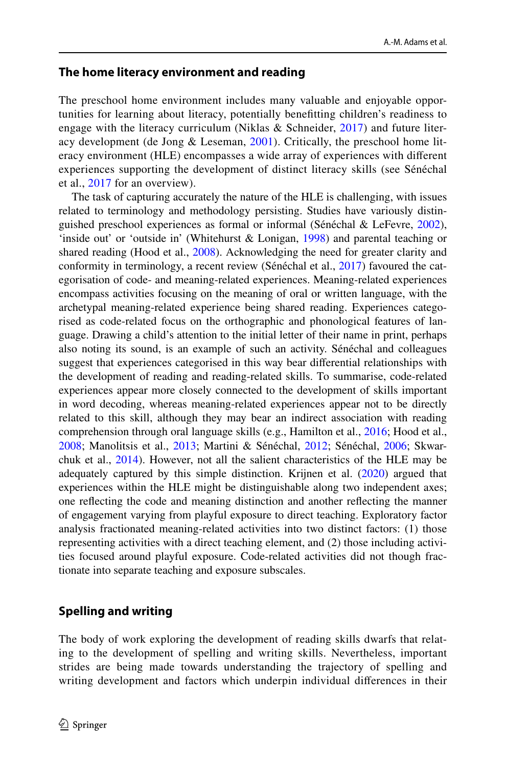#### **The home literacy environment and reading**

The preschool home environment includes many valuable and enjoyable opportunities for learning about literacy, potentially beneftting children's readiness to engage with the literacy curriculum (Niklas & Schneider,  $2017$ ) and future literacy development (de Jong & Leseman, [2001\)](#page-20-0). Critically, the preschool home literacy environment (HLE) encompasses a wide array of experiences with diferent experiences supporting the development of distinct literacy skills (see Sénéchal et al., [2017](#page-22-1) for an overview).

The task of capturing accurately the nature of the HLE is challenging, with issues related to terminology and methodology persisting. Studies have variously distinguished preschool experiences as formal or informal (Sénéchal & LeFevre, [2002\)](#page-22-2), 'inside out' or 'outside in' (Whitehurst & Lonigan, [1998\)](#page-23-0) and parental teaching or shared reading (Hood et al., [2008](#page-21-0)). Acknowledging the need for greater clarity and conformity in terminology, a recent review (Sénéchal et al., [2017](#page-22-1)) favoured the categorisation of code- and meaning-related experiences. Meaning-related experiences encompass activities focusing on the meaning of oral or written language, with the archetypal meaning-related experience being shared reading. Experiences categorised as code-related focus on the orthographic and phonological features of language. Drawing a child's attention to the initial letter of their name in print, perhaps also noting its sound, is an example of such an activity. Sénéchal and colleagues suggest that experiences categorised in this way bear diferential relationships with the development of reading and reading-related skills. To summarise, code-related experiences appear more closely connected to the development of skills important in word decoding, whereas meaning-related experiences appear not to be directly related to this skill, although they may bear an indirect association with reading comprehension through oral language skills (e.g., Hamilton et al., [2016](#page-21-1); Hood et al., [2008](#page-21-0); Manolitsis et al., [2013](#page-21-2); Martini & Sénéchal, [2012;](#page-22-3) Sénéchal, [2006](#page-22-4); Skwarchuk et al., [2014](#page-22-5)). However, not all the salient characteristics of the HLE may be adequately captured by this simple distinction. Krijnen et al. [\(2020](#page-21-3)) argued that experiences within the HLE might be distinguishable along two independent axes; one refecting the code and meaning distinction and another refecting the manner of engagement varying from playful exposure to direct teaching. Exploratory factor analysis fractionated meaning-related activities into two distinct factors: (1) those representing activities with a direct teaching element, and (2) those including activities focused around playful exposure. Code-related activities did not though fractionate into separate teaching and exposure subscales.

# **Spelling and writing**

The body of work exploring the development of reading skills dwarfs that relating to the development of spelling and writing skills. Nevertheless, important strides are being made towards understanding the trajectory of spelling and writing development and factors which underpin individual diferences in their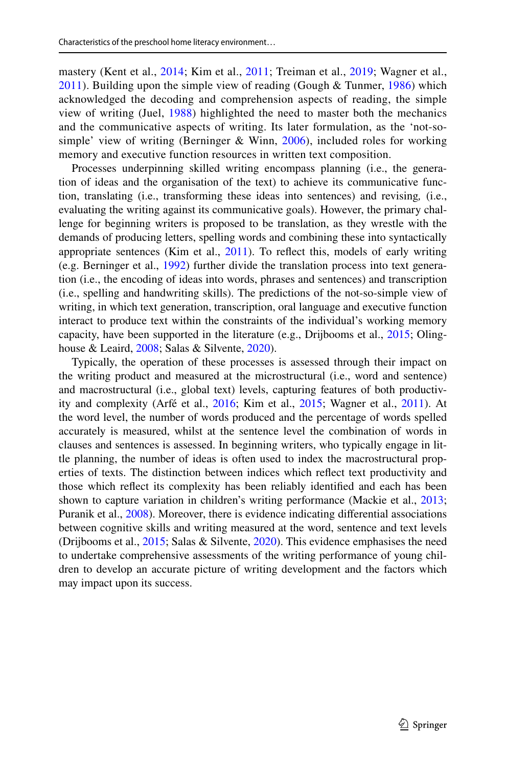mastery (Kent et al., [2014;](#page-21-4) Kim et al., [2011;](#page-21-5) Treiman et al., [2019](#page-23-1); Wagner et al.,  $2011$ ). Building upon the simple view of reading (Gough & Tunmer, [1986](#page-21-6)) which acknowledged the decoding and comprehension aspects of reading, the simple view of writing (Juel, [1988](#page-21-7)) highlighted the need to master both the mechanics and the communicative aspects of writing. Its later formulation, as the 'not-sosimple' view of writing (Berninger & Winn, [2006\)](#page-20-1), included roles for working memory and executive function resources in written text composition.

Processes underpinning skilled writing encompass planning (i.e., the generation of ideas and the organisation of the text) to achieve its communicative function, translating (i.e., transforming these ideas into sentences) and revising*,* (i.e., evaluating the writing against its communicative goals). However, the primary challenge for beginning writers is proposed to be translation, as they wrestle with the demands of producing letters, spelling words and combining these into syntactically appropriate sentences (Kim et al.,  $2011$ ). To reflect this, models of early writing (e.g. Berninger et al., [1992](#page-20-2)) further divide the translation process into text generation (i.e., the encoding of ideas into words, phrases and sentences) and transcription (i.e., spelling and handwriting skills). The predictions of the not-so-simple view of writing, in which text generation, transcription, oral language and executive function interact to produce text within the constraints of the individual's working memory capacity, have been supported in the literature (e.g., Drijbooms et al., [2015](#page-20-3); Olinghouse & Leaird, [2008](#page-22-6); Salas & Silvente, [2020\)](#page-22-7).

Typically, the operation of these processes is assessed through their impact on the writing product and measured at the microstructural (i.e., word and sentence) and macrostructural (i.e., global text) levels, capturing features of both productiv-ity and complexity (Arfé et al., [2016;](#page-20-4) Kim et al., [2015](#page-21-8); Wagner et al., [2011\)](#page-23-2). At the word level, the number of words produced and the percentage of words spelled accurately is measured, whilst at the sentence level the combination of words in clauses and sentences is assessed. In beginning writers, who typically engage in little planning, the number of ideas is often used to index the macrostructural properties of texts. The distinction between indices which refect text productivity and those which refect its complexity has been reliably identifed and each has been shown to capture variation in children's writing performance (Mackie et al., [2013;](#page-21-9) Puranik et al., [2008](#page-22-8)). Moreover, there is evidence indicating diferential associations between cognitive skills and writing measured at the word, sentence and text levels (Drijbooms et al., [2015;](#page-20-3) Salas & Silvente, [2020](#page-22-7)). This evidence emphasises the need to undertake comprehensive assessments of the writing performance of young children to develop an accurate picture of writing development and the factors which may impact upon its success.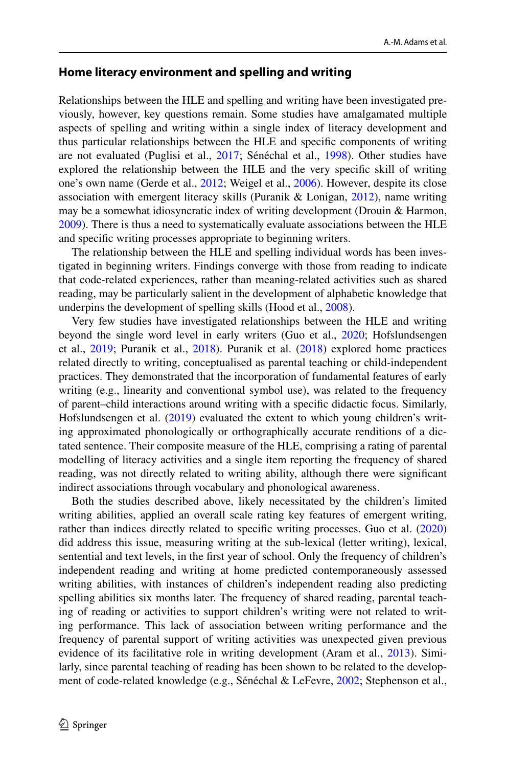#### **Home literacy environment and spelling and writing**

Relationships between the HLE and spelling and writing have been investigated previously, however, key questions remain. Some studies have amalgamated multiple aspects of spelling and writing within a single index of literacy development and thus particular relationships between the HLE and specifc components of writing are not evaluated (Puglisi et al., [2017;](#page-22-9) Sénéchal et al., [1998\)](#page-22-10). Other studies have explored the relationship between the HLE and the very specifc skill of writing one's own name (Gerde et al., [2012](#page-21-10); Weigel et al., [2006](#page-23-3)). However, despite its close association with emergent literacy skills (Puranik & Lonigan, [2012](#page-22-11)), name writing may be a somewhat idiosyncratic index of writing development (Drouin & Harmon, [2009](#page-20-5)). There is thus a need to systematically evaluate associations between the HLE and specifc writing processes appropriate to beginning writers.

The relationship between the HLE and spelling individual words has been investigated in beginning writers. Findings converge with those from reading to indicate that code-related experiences, rather than meaning-related activities such as shared reading, may be particularly salient in the development of alphabetic knowledge that underpins the development of spelling skills (Hood et al., [2008\)](#page-21-0).

Very few studies have investigated relationships between the HLE and writing beyond the single word level in early writers (Guo et al., [2020;](#page-21-11) Hofslundsengen et al., [2019](#page-21-12); Puranik et al., [2018\)](#page-22-12). Puranik et al. ([2018\)](#page-22-12) explored home practices related directly to writing, conceptualised as parental teaching or child-independent practices. They demonstrated that the incorporation of fundamental features of early writing (e.g., linearity and conventional symbol use), was related to the frequency of parent–child interactions around writing with a specifc didactic focus. Similarly, Hofslundsengen et al. ([2019\)](#page-21-12) evaluated the extent to which young children's writing approximated phonologically or orthographically accurate renditions of a dictated sentence. Their composite measure of the HLE, comprising a rating of parental modelling of literacy activities and a single item reporting the frequency of shared reading, was not directly related to writing ability, although there were signifcant indirect associations through vocabulary and phonological awareness.

Both the studies described above, likely necessitated by the children's limited writing abilities, applied an overall scale rating key features of emergent writing, rather than indices directly related to specific writing processes. Guo et al. ([2020\)](#page-21-11) did address this issue, measuring writing at the sub-lexical (letter writing), lexical, sentential and text levels, in the frst year of school. Only the frequency of children's independent reading and writing at home predicted contemporaneously assessed writing abilities, with instances of children's independent reading also predicting spelling abilities six months later. The frequency of shared reading, parental teaching of reading or activities to support children's writing were not related to writing performance. This lack of association between writing performance and the frequency of parental support of writing activities was unexpected given previous evidence of its facilitative role in writing development (Aram et al., [2013\)](#page-20-6). Similarly, since parental teaching of reading has been shown to be related to the development of code-related knowledge (e.g., Sénéchal & LeFevre, [2002](#page-22-2); Stephenson et al.,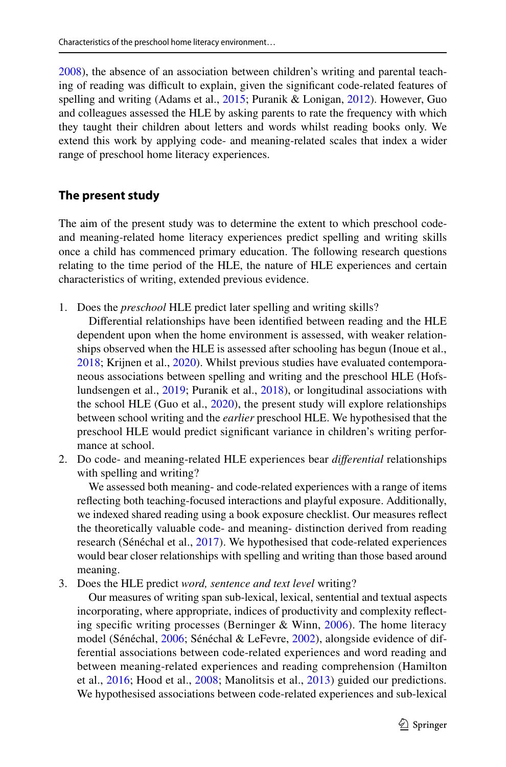[2008](#page-22-13)), the absence of an association between children's writing and parental teaching of reading was difficult to explain, given the significant code-related features of spelling and writing (Adams et al., [2015](#page-20-7); Puranik & Lonigan, [2012\)](#page-22-11). However, Guo and colleagues assessed the HLE by asking parents to rate the frequency with which they taught their children about letters and words whilst reading books only. We extend this work by applying code- and meaning-related scales that index a wider range of preschool home literacy experiences.

# **The present study**

The aim of the present study was to determine the extent to which preschool codeand meaning-related home literacy experiences predict spelling and writing skills once a child has commenced primary education. The following research questions relating to the time period of the HLE, the nature of HLE experiences and certain characteristics of writing, extended previous evidence.

1. Does the *preschool* HLE predict later spelling and writing skills?

 Diferential relationships have been identifed between reading and the HLE dependent upon when the home environment is assessed, with weaker relationships observed when the HLE is assessed after schooling has begun (Inoue et al., [2018](#page-21-13); Krijnen et al., [2020](#page-21-3)). Whilst previous studies have evaluated contemporaneous associations between spelling and writing and the preschool HLE (Hofslundsengen et al., [2019](#page-21-12); Puranik et al., [2018\)](#page-22-12), or longitudinal associations with the school HLE (Guo et al., [2020](#page-21-11)), the present study will explore relationships between school writing and the *earlier* preschool HLE. We hypothesised that the preschool HLE would predict signifcant variance in children's writing performance at school.

2. Do code- and meaning-related HLE experiences bear *diferential* relationships with spelling and writing?

 We assessed both meaning- and code-related experiences with a range of items refecting both teaching-focused interactions and playful exposure. Additionally, we indexed shared reading using a book exposure checklist. Our measures refect the theoretically valuable code- and meaning- distinction derived from reading research (Sénéchal et al., [2017](#page-22-1)). We hypothesised that code-related experiences would bear closer relationships with spelling and writing than those based around meaning.

3. Does the HLE predict *word, sentence and text level* writing?

 Our measures of writing span sub-lexical, lexical, sentential and textual aspects incorporating, where appropriate, indices of productivity and complexity refecting specifc writing processes (Berninger & Winn, [2006\)](#page-20-1). The home literacy model (Sénéchal, [2006](#page-22-4); Sénéchal & LeFevre, [2002](#page-22-2)), alongside evidence of differential associations between code-related experiences and word reading and between meaning-related experiences and reading comprehension (Hamilton et al., [2016;](#page-21-1) Hood et al., [2008;](#page-21-0) Manolitsis et al., [2013](#page-21-2)) guided our predictions. We hypothesised associations between code-related experiences and sub-lexical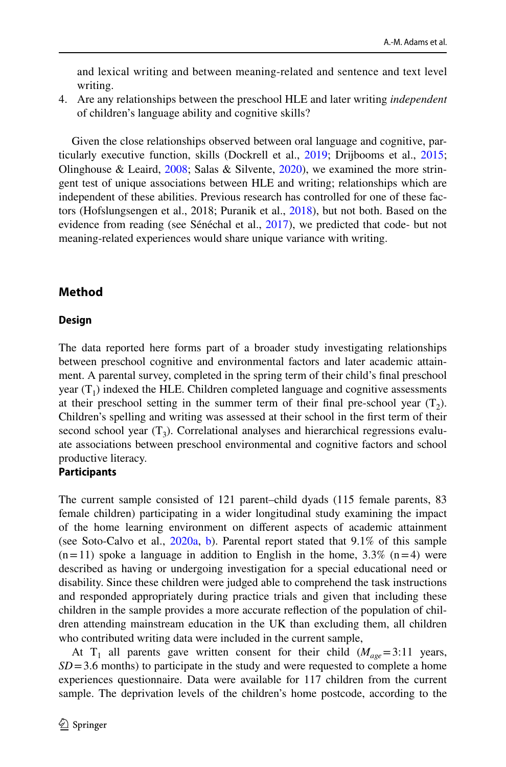and lexical writing and between meaning-related and sentence and text level writing.

4. Are any relationships between the preschool HLE and later writing *independent* of children's language ability and cognitive skills?

Given the close relationships observed between oral language and cognitive, particularly executive function, skills (Dockrell et al., [2019;](#page-20-8) Drijbooms et al., [2015;](#page-20-3) Olinghouse & Leaird,  $2008$ ; Salas & Silvente,  $2020$ ), we examined the more stringent test of unique associations between HLE and writing; relationships which are independent of these abilities. Previous research has controlled for one of these factors (Hofslungsengen et al., 2018; Puranik et al., [2018](#page-22-12)), but not both. Based on the evidence from reading (see Sénéchal et al., [2017\)](#page-22-1), we predicted that code- but not meaning-related experiences would share unique variance with writing.

# **Method**

#### **Design**

The data reported here forms part of a broader study investigating relationships between preschool cognitive and environmental factors and later academic attainment. A parental survey, completed in the spring term of their child's fnal preschool year  $(T_1)$  indexed the HLE. Children completed language and cognitive assessments at their preschool setting in the summer term of their final pre-school year  $(T_2)$ . Children's spelling and writing was assessed at their school in the frst term of their second school year  $(T_3)$ . Correlational analyses and hierarchical regressions evaluate associations between preschool environmental and cognitive factors and school productive literacy.

#### **Participants**

The current sample consisted of 121 parent–child dyads (115 female parents, 83 female children) participating in a wider longitudinal study examining the impact of the home learning environment on diferent aspects of academic attainment (see Soto-Calvo et al., [2020a](#page-22-14), [b\)](#page-22-15). Parental report stated that 9.1% of this sample  $(n=11)$  spoke a language in addition to English in the home, 3.3%  $(n=4)$  were described as having or undergoing investigation for a special educational need or disability. Since these children were judged able to comprehend the task instructions and responded appropriately during practice trials and given that including these children in the sample provides a more accurate refection of the population of children attending mainstream education in the UK than excluding them, all children who contributed writing data were included in the current sample,

At  $T_1$  all parents gave written consent for their child  $(M_{\text{age}}=3:11)$  years,  $SD = 3.6$  months) to participate in the study and were requested to complete a home experiences questionnaire. Data were available for 117 children from the current sample. The deprivation levels of the children's home postcode, according to the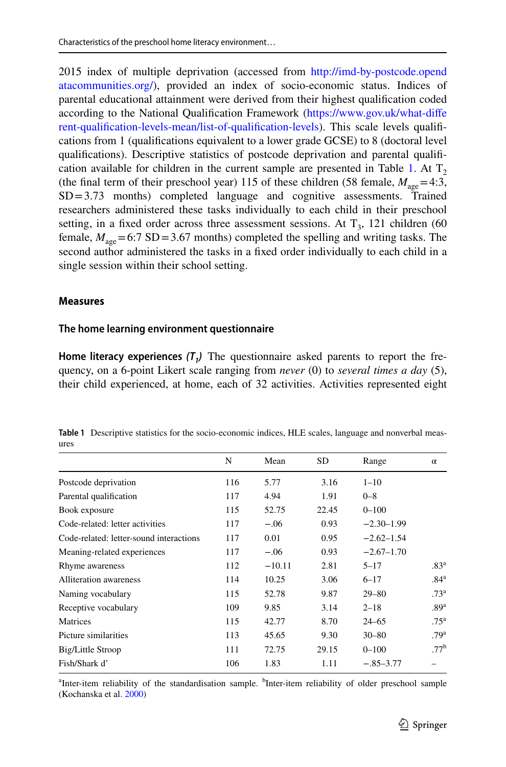2015 index of multiple deprivation (accessed from [http://imd-by-postcode.opend](http://imd-by-postcode.opendatacommunities.org/) [atacommunities.org/\)](http://imd-by-postcode.opendatacommunities.org/), provided an index of socio-economic status. Indices of parental educational attainment were derived from their highest qualifcation coded according to the National Qualifcation Framework ([https://www.gov.uk/what-dife](https://www.gov.uk/what-different-qualification-levels-mean/list-of-qualification-levels) [rent-qualifcation-levels-mean/list-of-qualifcation-levels](https://www.gov.uk/what-different-qualification-levels-mean/list-of-qualification-levels)). This scale levels qualifcations from 1 (qualifcations equivalent to a lower grade GCSE) to 8 (doctoral level qualifcations). Descriptive statistics of postcode deprivation and parental qualif-cation available for children in the current sample are presented in Table [1](#page-7-0). At  $T<sub>2</sub>$ (the final term of their preschool year) 115 of these children (58 female,  $M_{\text{age}} = 4:3$ , SD=3.73 months) completed language and cognitive assessments. Trained researchers administered these tasks individually to each child in their preschool setting, in a fixed order across three assessment sessions. At  $T_3$ , 121 children (60 female,  $M_{\text{age}} = 6.7 \text{ SD} = 3.67 \text{ months}$  completed the spelling and writing tasks. The second author administered the tasks in a fxed order individually to each child in a single session within their school setting.

### **Measures**

# **The home learning environment questionnaire**

**Home literacy experiences**  $(T_1)$  The questionnaire asked parents to report the frequency, on a 6-point Likert scale ranging from *never* (0) to *several times a day* (5), their child experienced, at home, each of 32 activities. Activities represented eight

|                                         | N   | Mean     | SD.   | Range          | $\alpha$         |
|-----------------------------------------|-----|----------|-------|----------------|------------------|
| Postcode deprivation                    | 116 | 5.77     | 3.16  | $1 - 10$       |                  |
| Parental qualification                  | 117 | 4.94     | 1.91  | $0 - 8$        |                  |
| Book exposure                           | 115 | 52.75    | 22.45 | $0 - 100$      |                  |
| Code-related: letter activities         | 117 | $-.06$   | 0.93  | $-2.30 - 1.99$ |                  |
| Code-related: letter-sound interactions | 117 | 0.01     | 0.95  | $-2.62 - 1.54$ |                  |
| Meaning-related experiences             | 117 | $-.06$   | 0.93  | $-2.67 - 1.70$ |                  |
| Rhyme awareness                         | 112 | $-10.11$ | 2.81  | $5 - 17$       | .83 <sup>a</sup> |
| Alliteration awareness                  | 114 | 10.25    | 3.06  | $6 - 17$       | .84 <sup>a</sup> |
| Naming vocabulary                       | 115 | 52.78    | 9.87  | $29 - 80$      | .73 <sup>a</sup> |
| Receptive vocabulary                    | 109 | 9.85     | 3.14  | $2 - 18$       | .89 <sup>a</sup> |
| Matrices                                | 115 | 42.77    | 8.70  | $24 - 65$      | .75 <sup>a</sup> |
| Picture similarities                    | 113 | 45.65    | 9.30  | $30 - 80$      | .79 <sup>a</sup> |
| Big/Little Stroop                       | 111 | 72.75    | 29.15 | $0 - 100$      | .77 <sup>b</sup> |
| Fish/Shark d'                           | 106 | 1.83     | 1.11  | $-.85 - 3.77$  |                  |

<span id="page-7-0"></span>**Table 1** Descriptive statistics for the socio-economic indices, HLE scales, language and nonverbal measures

<sup>a</sup>Inter-item reliability of the standardisation sample. <sup>b</sup>Inter-item reliability of older preschool sample (Kochanska et al. [2000](#page-21-14))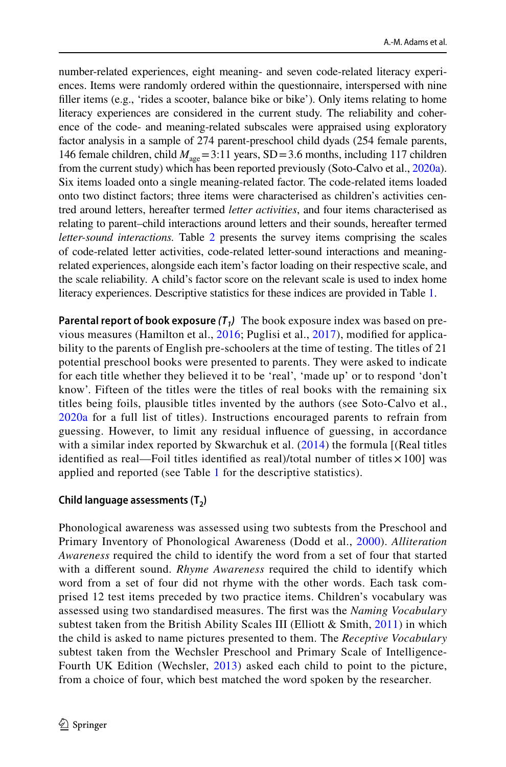number-related experiences, eight meaning- and seven code-related literacy experiences. Items were randomly ordered within the questionnaire, interspersed with nine filler items (e.g., 'rides a scooter, balance bike or bike'). Only items relating to home literacy experiences are considered in the current study. The reliability and coherence of the code- and meaning-related subscales were appraised using exploratory factor analysis in a sample of 274 parent-preschool child dyads (254 female parents, 146 female children, child  $M_{\text{age}} = 3.11$  years, SD = 3.6 months, including 117 children from the current study) which has been reported previously (Soto-Calvo et al., [2020a\)](#page-22-14). Six items loaded onto a single meaning-related factor. The code-related items loaded onto two distinct factors; three items were characterised as children's activities centred around letters, hereafter termed *letter activities*, and four items characterised as relating to parent–child interactions around letters and their sounds, hereafter termed *letter-sound interactions.* Table [2](#page-9-0) presents the survey items comprising the scales of code-related letter activities, code-related letter-sound interactions and meaningrelated experiences, alongside each item's factor loading on their respective scale, and the scale reliability*.* A child's factor score on the relevant scale is used to index home literacy experiences. Descriptive statistics for these indices are provided in Table [1](#page-7-0).

**Parental report of book exposure**  $(T_1)$  The book exposure index was based on previous measures (Hamilton et al., [2016;](#page-21-1) Puglisi et al., [2017](#page-22-9)), modifed for applicability to the parents of English pre-schoolers at the time of testing. The titles of 21 potential preschool books were presented to parents. They were asked to indicate for each title whether they believed it to be 'real', 'made up' or to respond 'don't know'. Fifteen of the titles were the titles of real books with the remaining six titles being foils, plausible titles invented by the authors (see Soto-Calvo et al., [2020a](#page-22-14) for a full list of titles). Instructions encouraged parents to refrain from guessing. However, to limit any residual infuence of guessing, in accordance with a similar index reported by Skwarchuk et al.  $(2014)$  $(2014)$  the formula [(Real titles identified as real—Foil titles identified as real)/total number of titles  $\times$  100] was applied and reported (see Table [1](#page-7-0) for the descriptive statistics).

# **Child language assessments (T2)**

Phonological awareness was assessed using two subtests from the Preschool and Primary Inventory of Phonological Awareness (Dodd et al., [2000\)](#page-20-9). *Alliteration Awareness* required the child to identify the word from a set of four that started with a diferent sound. *Rhyme Awareness* required the child to identify which word from a set of four did not rhyme with the other words. Each task comprised 12 test items preceded by two practice items. Children's vocabulary was assessed using two standardised measures. The frst was the *Naming Vocabulary* subtest taken from the British Ability Scales III (Elliott & Smith, [2011](#page-20-10)) in which the child is asked to name pictures presented to them. The *Receptive Vocabulary* subtest taken from the Wechsler Preschool and Primary Scale of Intelligence-Fourth UK Edition (Wechsler, [2013](#page-23-4)) asked each child to point to the picture, from a choice of four, which best matched the word spoken by the researcher.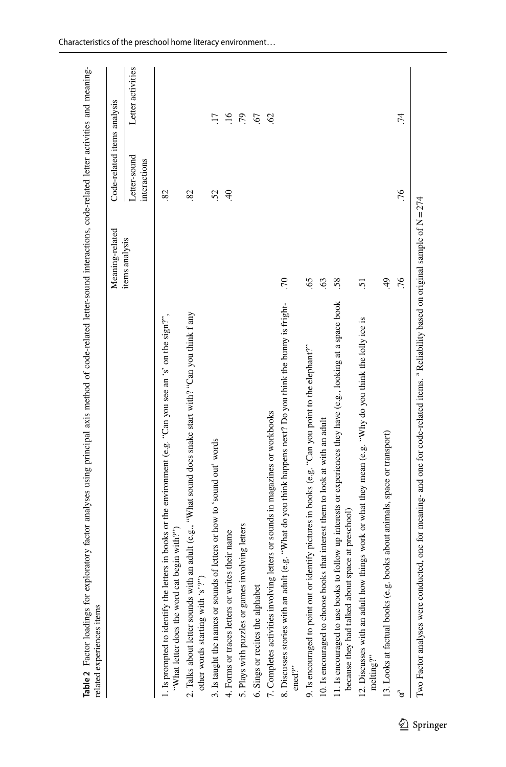<span id="page-9-0"></span>

| Table 2 Factor loadings for exploratory factor analyses using principal axis method of code-related letter-sound interactions, code-related letter activities and meaning-<br>related experiences items |                 |                              |                   |
|---------------------------------------------------------------------------------------------------------------------------------------------------------------------------------------------------------|-----------------|------------------------------|-------------------|
|                                                                                                                                                                                                         | Meaning-related | Code-related items analysis  |                   |
|                                                                                                                                                                                                         | items analysis  | Letter-sound<br>interactions | Letter activities |
| 1. Is prompted to identify the letters in books or the environment (e.g. "Can you see an 's' on the sign?",<br>"What letter does the word cat begin with?"                                              |                 | 82                           |                   |
| 2. Talks about letter sounds with an adult (e.g., "What sound does snake start with?"Can you think f any<br>other words starting with 's'?")                                                            |                 | 82                           |                   |
| 3. Is taught the names or sounds of letters or how to 'sound out' words                                                                                                                                 |                 | 52.                          | $\overline{17}$   |
| 4. Forms or traces letters or writes their name                                                                                                                                                         |                 | $\overline{4}$               | $\overline{.16}$  |
| 5. Plays with puzzles or games involving letters                                                                                                                                                        |                 |                              | 50                |
| 6. Sings or recites the alphabet                                                                                                                                                                        |                 |                              | 67                |
| letters or sounds in magazines or workbooks<br>7. Completes activities involving                                                                                                                        |                 |                              | $\mathcal{S}$     |
| (e.g. "What do you think happens next? Do you think the bunny is fright-<br>8. Discusses stories with an adult<br>ened?"                                                                                | .70             |                              |                   |
| dentify pictures in books (e.g. "Can you point to the elephant?"<br>9. Is encouraged to point out or io                                                                                                 | \$9.            |                              |                   |
| 10. Is encouraged to choose books that interest them to look at with an adult                                                                                                                           | $\ddot{\circ}$  |                              |                   |
| 11. Is encouraged to use books to follow up interests or experiences they have (e.g., looking at a space book<br>because they had talked about space at preschool)                                      | .58             |                              |                   |
| 12. Discusses with an adult how things work or what they mean (e.g. "Why do you think the lolly ice is<br>$\mathop{\rm median}\nolimits g?$                                                             | 51              |                              |                   |
| 13. Looks at factual books (e.g. books about animals, space or transport)                                                                                                                               | $\ddot{ }$      |                              |                   |
| ್ಆ                                                                                                                                                                                                      | .76             | .76                          | 74                |
| Two Factor analyses were conducted, one for meaning- and one for code-related items. <sup>4</sup> Reliability based on original sample of $N=274$                                                       |                 |                              |                   |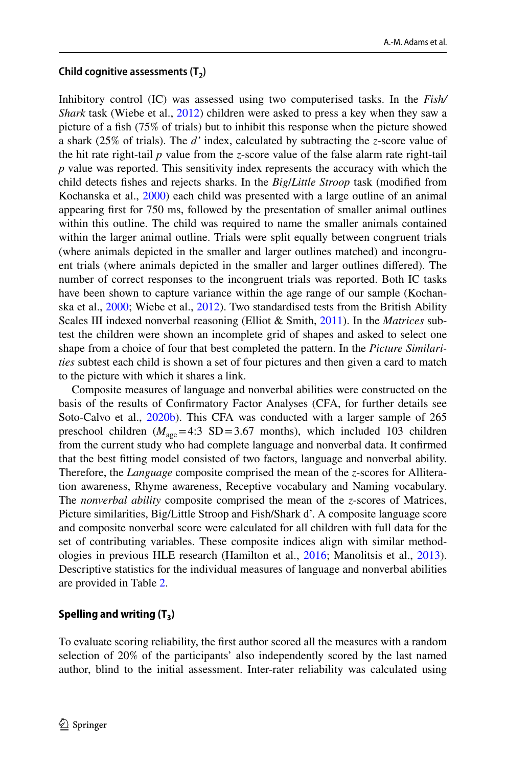#### Child cognitive assessments (T<sub>2</sub>)

Inhibitory control (IC) was assessed using two computerised tasks. In the *Fish/ Shark* task (Wiebe et al., [2012\)](#page-23-5) children were asked to press a key when they saw a picture of a fsh (75% of trials) but to inhibit this response when the picture showed a shark (25% of trials). The *d'* index, calculated by subtracting the *z*-score value of the hit rate right-tail *p* value from the *z*-score value of the false alarm rate right-tail *p* value was reported. This sensitivity index represents the accuracy with which the child detects fshes and rejects sharks. In the *Big*/*Little Stroop* task (modifed from Kochanska et al., [2000\)](#page-21-14) each child was presented with a large outline of an animal appearing frst for 750 ms, followed by the presentation of smaller animal outlines within this outline. The child was required to name the smaller animals contained within the larger animal outline. Trials were split equally between congruent trials (where animals depicted in the smaller and larger outlines matched) and incongruent trials (where animals depicted in the smaller and larger outlines difered). The number of correct responses to the incongruent trials was reported. Both IC tasks have been shown to capture variance within the age range of our sample (Kochanska et al., [2000;](#page-21-14) Wiebe et al., [2012\)](#page-23-5). Two standardised tests from the British Ability Scales III indexed nonverbal reasoning (Elliot & Smith, [2011\)](#page-20-10). In the *Matrices* subtest the children were shown an incomplete grid of shapes and asked to select one shape from a choice of four that best completed the pattern. In the *Picture Similarities* subtest each child is shown a set of four pictures and then given a card to match to the picture with which it shares a link.

Composite measures of language and nonverbal abilities were constructed on the basis of the results of Confrmatory Factor Analyses (CFA, for further details see Soto-Calvo et al., [2020b](#page-22-15)). This CFA was conducted with a larger sample of 265 preschool children ( $M_{\text{age}}$ =4:3 SD=3.67 months), which included 103 children from the current study who had complete language and nonverbal data. It confrmed that the best ftting model consisted of two factors, language and nonverbal ability. Therefore, the *Language* composite comprised the mean of the *z*-scores for Alliteration awareness, Rhyme awareness, Receptive vocabulary and Naming vocabulary. The *nonverbal ability* composite comprised the mean of the *z*-scores of Matrices, Picture similarities, Big/Little Stroop and Fish/Shark d'. A composite language score and composite nonverbal score were calculated for all children with full data for the set of contributing variables. These composite indices align with similar methodologies in previous HLE research (Hamilton et al., [2016;](#page-21-1) Manolitsis et al., [2013\)](#page-21-2). Descriptive statistics for the individual measures of language and nonverbal abilities are provided in Table [2.](#page-9-0)

#### Spelling and writing (T<sub>3</sub>)

To evaluate scoring reliability, the frst author scored all the measures with a random selection of 20% of the participants' also independently scored by the last named author, blind to the initial assessment. Inter-rater reliability was calculated using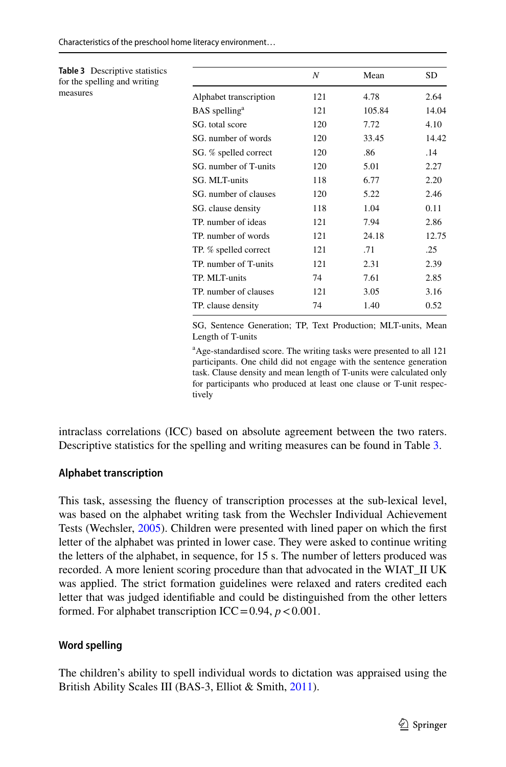| Characteristics of the preschool home literacy environment |  |
|------------------------------------------------------------|--|
|------------------------------------------------------------|--|

<span id="page-11-0"></span>

| <b>Table 3</b> Descriptive statistics<br>for the spelling and writing |                           | N   | Mean   | SD.   |
|-----------------------------------------------------------------------|---------------------------|-----|--------|-------|
| measures                                                              | Alphabet transcription    | 121 | 4.78   | 2.64  |
|                                                                       | BAS spelling <sup>a</sup> | 121 | 105.84 | 14.04 |
|                                                                       | SG, total score           | 120 | 7.72   | 4.10  |
|                                                                       | SG, number of words       | 120 | 33.45  | 14.42 |
|                                                                       | SG. % spelled correct     | 120 | .86    | .14   |
|                                                                       | SG, number of T-units     | 120 | 5.01   | 2.27  |
|                                                                       | SG. MLT-units             | 118 | 6.77   | 2.20  |
|                                                                       | SG, number of clauses     | 120 | 5.22   | 2.46  |
|                                                                       | SG. clause density        | 118 | 1.04   | 0.11  |
|                                                                       | TP, number of ideas       | 121 | 7.94   | 2.86  |
|                                                                       | TP. number of words       | 121 | 24.18  | 12.75 |
|                                                                       | TP. % spelled correct     | 121 | .71    | .25   |
|                                                                       | TP. number of T-units     | 121 | 2.31   | 2.39  |
|                                                                       | TP. MLT-units             | 74  | 7.61   | 2.85  |
|                                                                       | TP. number of clauses     | 121 | 3.05   | 3.16  |
|                                                                       | TP. clause density        | 74  | 1.40   | 0.52  |
|                                                                       |                           |     |        |       |

SG, Sentence Generation; TP, Text Production; MLT-units, Mean Length of T-units

a Age-standardised score. The writing tasks were presented to all 121 participants. One child did not engage with the sentence generation task. Clause density and mean length of T-units were calculated only for participants who produced at least one clause or T-unit respectively

intraclass correlations (ICC) based on absolute agreement between the two raters. Descriptive statistics for the spelling and writing measures can be found in Table [3](#page-11-0).

#### **Alphabet transcription**

This task, assessing the fuency of transcription processes at the sub-lexical level, was based on the alphabet writing task from the Wechsler Individual Achievement Tests (Wechsler, [2005\)](#page-23-6). Children were presented with lined paper on which the frst letter of the alphabet was printed in lower case. They were asked to continue writing the letters of the alphabet, in sequence, for 15 s. The number of letters produced was recorded. A more lenient scoring procedure than that advocated in the WIAT\_II UK was applied. The strict formation guidelines were relaxed and raters credited each letter that was judged identifable and could be distinguished from the other letters formed. For alphabet transcription ICC =  $0.94$ ,  $p < 0.001$ .

# **Word spelling**

The children's ability to spell individual words to dictation was appraised using the British Ability Scales III (BAS-3, Elliot & Smith, [2011\)](#page-20-10).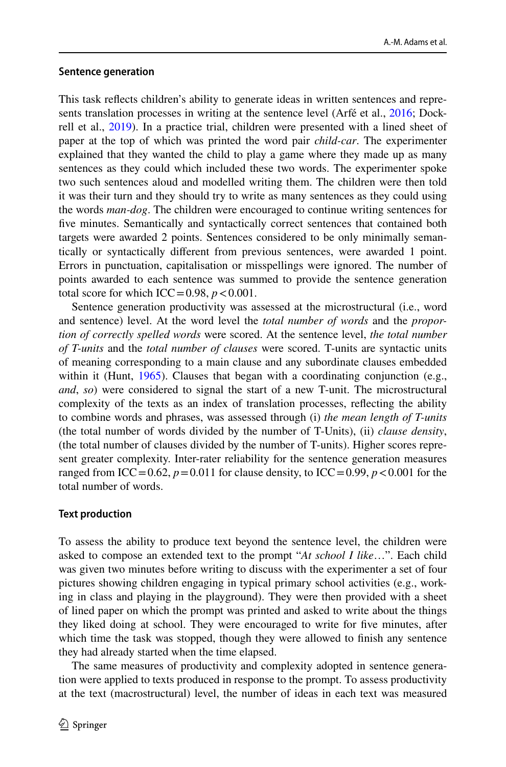#### **Sentence generation**

This task refects children's ability to generate ideas in written sentences and represents translation processes in writing at the sentence level (Arfé et al., [2016](#page-20-4); Dockrell et al., [2019\)](#page-20-8). In a practice trial, children were presented with a lined sheet of paper at the top of which was printed the word pair *child-car*. The experimenter explained that they wanted the child to play a game where they made up as many sentences as they could which included these two words. The experimenter spoke two such sentences aloud and modelled writing them. The children were then told it was their turn and they should try to write as many sentences as they could using the words *man-dog*. The children were encouraged to continue writing sentences for fve minutes. Semantically and syntactically correct sentences that contained both targets were awarded 2 points. Sentences considered to be only minimally semantically or syntactically diferent from previous sentences, were awarded 1 point. Errors in punctuation, capitalisation or misspellings were ignored. The number of points awarded to each sentence was summed to provide the sentence generation total score for which ICC=0.98,  $p < 0.001$ .

Sentence generation productivity was assessed at the microstructural (i.e., word and sentence) level. At the word level the *total number of words* and the *proportion of correctly spelled words* were scored. At the sentence level, *the total number of T-units* and the *total number of clauses* were scored. T-units are syntactic units of meaning corresponding to a main clause and any subordinate clauses embedded within it (Hunt, [1965](#page-21-15)). Clauses that began with a coordinating conjunction (e.g., *and*, *so*) were considered to signal the start of a new T-unit. The microstructural complexity of the texts as an index of translation processes, refecting the ability to combine words and phrases, was assessed through (i) *the mean length of T-units* (the total number of words divided by the number of T-Units), (ii) *clause density*, (the total number of clauses divided by the number of T-units). Higher scores represent greater complexity. Inter-rater reliability for the sentence generation measures ranged from ICC = 0.62,  $p = 0.011$  for clause density, to ICC = 0.99,  $p < 0.001$  for the total number of words.

#### **Text production**

To assess the ability to produce text beyond the sentence level, the children were asked to compose an extended text to the prompt "*At school I like*…". Each child was given two minutes before writing to discuss with the experimenter a set of four pictures showing children engaging in typical primary school activities (e.g., working in class and playing in the playground). They were then provided with a sheet of lined paper on which the prompt was printed and asked to write about the things they liked doing at school. They were encouraged to write for fve minutes, after which time the task was stopped, though they were allowed to fnish any sentence they had already started when the time elapsed.

The same measures of productivity and complexity adopted in sentence generation were applied to texts produced in response to the prompt. To assess productivity at the text (macrostructural) level, the number of ideas in each text was measured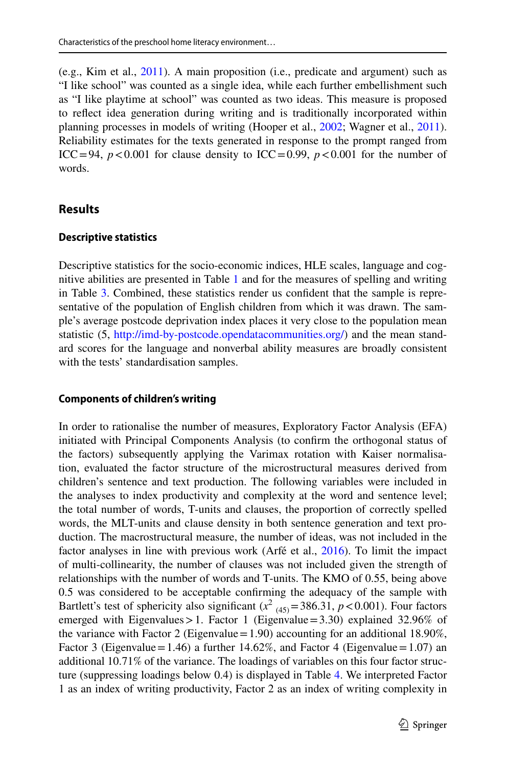(e.g., Kim et al., [2011](#page-21-5)). A main proposition (i.e., predicate and argument) such as "I like school" was counted as a single idea, while each further embellishment such as "I like playtime at school" was counted as two ideas. This measure is proposed to refect idea generation during writing and is traditionally incorporated within planning processes in models of writing (Hooper et al., [2002;](#page-21-16) Wagner et al., [2011\)](#page-23-2). Reliability estimates for the texts generated in response to the prompt ranged from ICC=94,  $p < 0.001$  for clause density to ICC=0.99,  $p < 0.001$  for the number of words.

## **Results**

#### **Descriptive statistics**

Descriptive statistics for the socio-economic indices, HLE scales, language and cognitive abilities are presented in Table [1](#page-7-0) and for the measures of spelling and writing in Table [3.](#page-11-0) Combined, these statistics render us confdent that the sample is representative of the population of English children from which it was drawn. The sample's average postcode deprivation index places it very close to the population mean statistic (5, [http://imd-by-postcode.opendatacommunities.org/\)](http://imd-by-postcode.opendatacommunities.org/) and the mean standard scores for the language and nonverbal ability measures are broadly consistent with the tests' standardisation samples.

#### **Components of children's writing**

In order to rationalise the number of measures, Exploratory Factor Analysis (EFA) initiated with Principal Components Analysis (to confrm the orthogonal status of the factors) subsequently applying the Varimax rotation with Kaiser normalisation, evaluated the factor structure of the microstructural measures derived from children's sentence and text production. The following variables were included in the analyses to index productivity and complexity at the word and sentence level; the total number of words, T-units and clauses, the proportion of correctly spelled words, the MLT-units and clause density in both sentence generation and text production. The macrostructural measure, the number of ideas, was not included in the factor analyses in line with previous work (Arfé et al., [2016](#page-20-4)). To limit the impact of multi-collinearity, the number of clauses was not included given the strength of relationships with the number of words and T-units. The KMO of 0.55, being above 0.5 was considered to be acceptable confrming the adequacy of the sample with Bartlett's test of sphericity also significant ( $x^2$  <sub>(45)</sub> = 386.31, *p* < 0.001). Four factors emerged with Eigenvalues > 1. Factor 1 (Eigenvalue =  $3.30$ ) explained  $32.96\%$  of the variance with Factor 2 (Eigenvalue = 1.90) accounting for an additional 18.90%, Factor 3 (Eigenvalue = 1.46) a further 14.62%, and Factor 4 (Eigenvalue = 1.07) an additional 10.71% of the variance. The loadings of variables on this four factor structure (suppressing loadings below 0.4) is displayed in Table [4](#page-14-0). We interpreted Factor 1 as an index of writing productivity, Factor 2 as an index of writing complexity in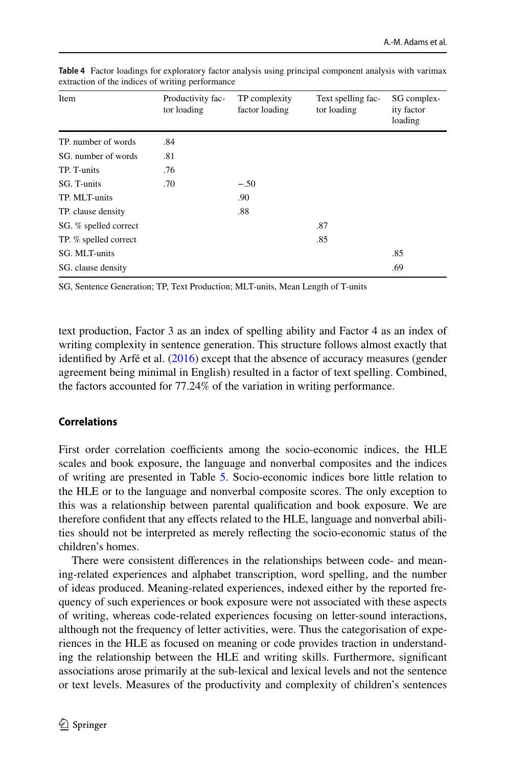| Item                  | Productivity fac-<br>tor loading | TP complexity<br>factor loading | Text spelling fac-<br>tor loading | SG complex-<br>ity factor<br>loading |
|-----------------------|----------------------------------|---------------------------------|-----------------------------------|--------------------------------------|
| TP. number of words   | .84                              |                                 |                                   |                                      |
| SG, number of words   | .81                              |                                 |                                   |                                      |
| TP. T-units           | .76                              |                                 |                                   |                                      |
| SG. T-units           | .70                              | $-.50$                          |                                   |                                      |
| TP. MLT-units         |                                  | .90                             |                                   |                                      |
| TP. clause density    |                                  | .88                             |                                   |                                      |
| SG. % spelled correct |                                  |                                 | .87                               |                                      |
| TP. % spelled correct |                                  |                                 | .85                               |                                      |
| SG. MLT-units         |                                  |                                 |                                   | .85                                  |
| SG. clause density    |                                  |                                 |                                   | .69                                  |

<span id="page-14-0"></span>**Table 4** Factor loadings for exploratory factor analysis using principal component analysis with varimax extraction of the indices of writing performance

SG, Sentence Generation; TP, Text Production; MLT-units, Mean Length of T-units

text production, Factor 3 as an index of spelling ability and Factor 4 as an index of writing complexity in sentence generation. This structure follows almost exactly that identifed by Arfé et al. [\(2016](#page-20-4)) except that the absence of accuracy measures (gender agreement being minimal in English) resulted in a factor of text spelling. Combined, the factors accounted for 77.24% of the variation in writing performance.

#### **Correlations**

First order correlation coefficients among the socio-economic indices, the HLE scales and book exposure, the language and nonverbal composites and the indices of writing are presented in Table [5](#page-15-0). Socio-economic indices bore little relation to the HLE or to the language and nonverbal composite scores. The only exception to this was a relationship between parental qualifcation and book exposure. We are therefore confdent that any efects related to the HLE, language and nonverbal abilities should not be interpreted as merely refecting the socio-economic status of the children's homes.

There were consistent diferences in the relationships between code- and meaning-related experiences and alphabet transcription, word spelling, and the number of ideas produced. Meaning-related experiences, indexed either by the reported frequency of such experiences or book exposure were not associated with these aspects of writing, whereas code-related experiences focusing on letter-sound interactions, although not the frequency of letter activities, were. Thus the categorisation of experiences in the HLE as focused on meaning or code provides traction in understanding the relationship between the HLE and writing skills. Furthermore, signifcant associations arose primarily at the sub-lexical and lexical levels and not the sentence or text levels. Measures of the productivity and complexity of children's sentences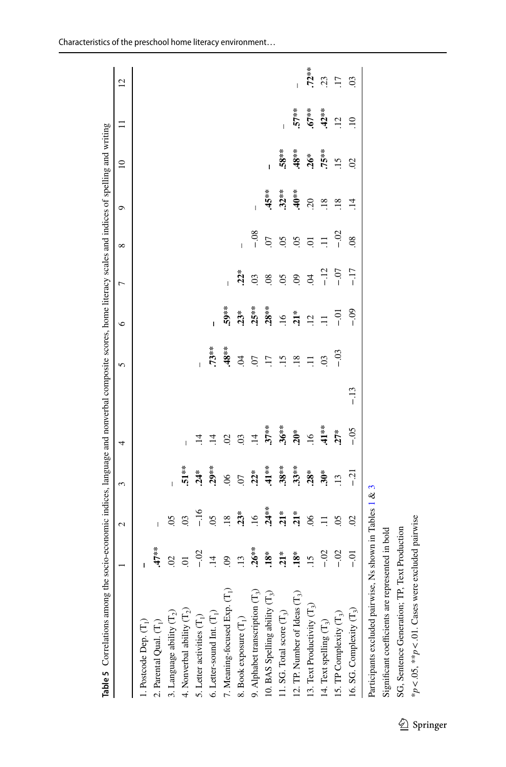| Table 5 Correlations among the                         |                    |                |                 | socio-economic indices, language and nonverbal composite scores, home literacy scales and indices of spelling and writing |                 |          |                |                 |                |                 |                 |                |                 |
|--------------------------------------------------------|--------------------|----------------|-----------------|---------------------------------------------------------------------------------------------------------------------------|-----------------|----------|----------------|-----------------|----------------|-----------------|-----------------|----------------|-----------------|
|                                                        |                    | 2              | 3               | 4                                                                                                                         | 5               | $\circ$  |                | $\overline{ }$  | ${}^{\circ}$   | $\circ$         | $\overline{a}$  | $\Xi$          | $\overline{c}$  |
| . Postcode Dep. $(T_1)$                                | I                  |                |                 |                                                                                                                           |                 |          |                |                 |                |                 |                 |                |                 |
| 2. Parental Qual. $(T_1)$                              | $47**$             | Ī              |                 |                                                                                                                           |                 |          |                |                 |                |                 |                 |                |                 |
| 3. Language ability $(\mathrm{T}_2)$                   | S                  | 65             |                 |                                                                                                                           |                 |          |                |                 |                |                 |                 |                |                 |
| i. Nonverbal ability $(\mathrm{T}_2)$                  | $\overline{\circ}$ | $\mathfrak{S}$ | $51**$          |                                                                                                                           |                 |          |                |                 |                |                 |                 |                |                 |
| 5. Letter activities $(T_1)$                           | $-0.2$             | $-16$          | $\frac{4}{3}$   | $\vec{a}$                                                                                                                 | Ī               |          |                |                 |                |                 |                 |                |                 |
| 6. Letter-sound Int. $(T_1)$                           | $\overline{4}$     | $\overline{0}$ | $29**$          | $\overline{1}$                                                                                                            |                 | $.73**$  |                |                 |                |                 |                 |                |                 |
| 7. Meaning-focused Exp. $(\mathrm{T_{i}})$             | $\overline{6}$     | 18             | $\overline{6}$  | S                                                                                                                         |                 | $.48***$ | $59**$         |                 |                |                 |                 |                |                 |
| 8. Book exposure $(T_1)$                               | 13                 | $23*$          | $\overline{5}$  | $\mathfrak{S}$                                                                                                            | $\tilde{q}$     |          | $23*$          | $\mathbf{22}^*$ |                |                 |                 |                |                 |
| 9. Alphabet transcription $(T_3)$                      | $26**$             | $\frac{16}{1}$ | $.22*$          | $\overline{1}$                                                                                                            | $\overline{C}$  |          | $25**$         | $\overline{0}$  | $-0.8$         |                 |                 |                |                 |
| 10. BAS Spelling ability $(\mathrm{T}_3)$              | $18*$              | $24**$         | $\ddot{\bm{4}}$ | $37**$                                                                                                                    | $\overline{17}$ |          | $28**$         | 08              | $\Omega$       | $45**$          |                 |                |                 |
| $11.$ SG. Total score $(\mathrm{T}_3)$                 | $\ddot{a}$         | $21*$          | $38***$         | $36**$                                                                                                                    | $\overline{15}$ |          | $\tilde{=}$    | 65              | 65             | $32**$          | 58**            |                |                 |
| 12. TP. Number of Ideas $(T_3)$                        | $3^*$              | $21*$          | $33***$         | $.20*$                                                                                                                    | $\overline{18}$ |          | $\ddot{a}$     | $\overline{6}$  | $\overline{6}$ | $40**$          | $.48***$        | $57***$        |                 |
| 13. Text Productivity $(T_3)$                          | 15                 | $\approx$      | $28*$           | $\overline{16}$                                                                                                           | $\equiv$        |          | $\overline{5}$ | $\tilde{q}$     | $\overline{a}$ | $\overline{c}$  | $.26*$          | $.67***$       | $.72***$        |
| 14. Text spelling $(T_3)$                              | $-0.2$             | $\Xi$          | $\ddot{30}^*$   | $\ddot{\ddot{\tau}}$                                                                                                      | $\overline{0}$  |          | $\equiv$       | $-12$           | $\equiv$       | $\overline{18}$ | $75***$         | $42**$         | 23              |
| 15. TP Complexity $(\Gamma_3)$                         | $-0.2$             | $\overline{0}$ | 13              | $27*$                                                                                                                     | $-0.3$          |          | Ξ              | $-5$            | $rac{5}{1}$    | 18              | $\overline{15}$ | $\overline{c}$ | $\overline{17}$ |
| 16. SG. Complexity $(T_3)$                             |                    | $\mathcal{S}$  | $-21$           | $-0.5$                                                                                                                    | $-13$           |          | وں۔<br>-       |                 | $\infty$       | $\overline{14}$ | $\mathcal{L}$   | $\approx$      | $\mathfrak{S}$  |
| Participants excluded pairwise, Ns shown in Tables 1 & |                    |                | 3               |                                                                                                                           |                 |          |                |                 |                |                 |                 |                |                 |

**Table 5** Correlations among the socio-economic indices, language and nonverbal composite scores, home literacy scales and indices of spelling and writing Ę د<br>ما  $\mathbf{r}$ rnverhal and<br>a من<br>^` mo the 9. Table 5 Correlations

Characteristics of the preschool home literacy environment…

Significant coefficients are represented in bold SG, Sentence Generation; TP, Text Production \**p*<.05, \*\**p*<.01. Cases were excluded pairwise

<span id="page-15-0"></span>Significant coefficients are represented in bold<br>SG, Sentence Generation; TP, Text Production<br> $*_{p} < .05$ ,  $**_{p} < .01$ . Cases were excluded pairwise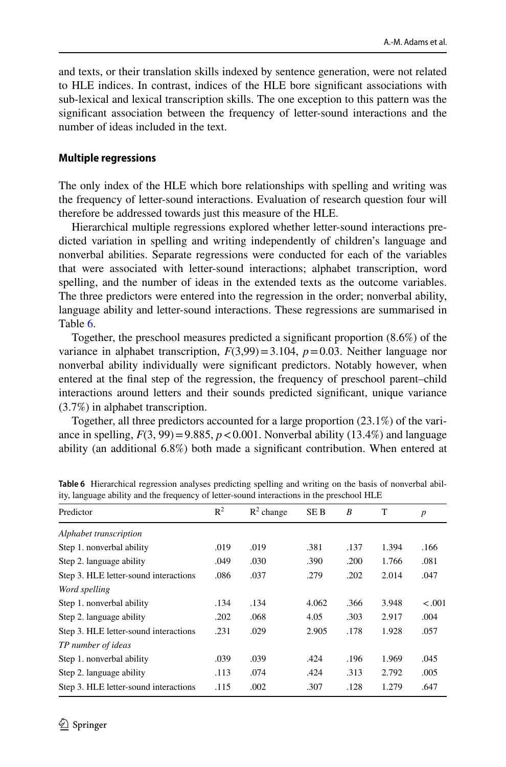and texts, or their translation skills indexed by sentence generation, were not related to HLE indices. In contrast, indices of the HLE bore signifcant associations with sub-lexical and lexical transcription skills. The one exception to this pattern was the signifcant association between the frequency of letter-sound interactions and the number of ideas included in the text.

#### **Multiple regressions**

The only index of the HLE which bore relationships with spelling and writing was the frequency of letter-sound interactions. Evaluation of research question four will therefore be addressed towards just this measure of the HLE.

Hierarchical multiple regressions explored whether letter-sound interactions predicted variation in spelling and writing independently of children's language and nonverbal abilities. Separate regressions were conducted for each of the variables that were associated with letter-sound interactions; alphabet transcription, word spelling, and the number of ideas in the extended texts as the outcome variables. The three predictors were entered into the regression in the order; nonverbal ability, language ability and letter-sound interactions. These regressions are summarised in Table [6.](#page-16-0)

Together, the preschool measures predicted a signifcant proportion (8.6%) of the variance in alphabet transcription,  $F(3,99) = 3.104$ ,  $p = 0.03$ . Neither language nor nonverbal ability individually were signifcant predictors. Notably however, when entered at the fnal step of the regression, the frequency of preschool parent–child interactions around letters and their sounds predicted signifcant, unique variance (3.7%) in alphabet transcription.

Together, all three predictors accounted for a large proportion (23.1%) of the variance in spelling,  $F(3, 99) = 9.885$ ,  $p < 0.001$ . Nonverbal ability (13.4%) and language ability (an additional 6.8%) both made a signifcant contribution. When entered at

| Predictor                             | $R^2$ | $R^2$ change | <b>SEB</b> | B    | T     | $\boldsymbol{p}$ |
|---------------------------------------|-------|--------------|------------|------|-------|------------------|
| Alphabet transcription                |       |              |            |      |       |                  |
| Step 1. nonverbal ability             | .019  | .019         | .381       | .137 | 1.394 | .166             |
| Step 2. language ability              | .049  | .030         | .390       | .200 | 1.766 | .081             |
| Step 3. HLE letter-sound interactions | .086  | .037         | .279       | .202 | 2.014 | .047             |
| Word spelling                         |       |              |            |      |       |                  |
| Step 1. nonverbal ability             | .134  | .134         | 4.062      | .366 | 3.948 | $-.001$          |
| Step 2. language ability              | .202  | .068         | 4.05       | .303 | 2.917 | .004             |
| Step 3. HLE letter-sound interactions | .231  | .029         | 2.905      | .178 | 1.928 | .057             |
| TP number of ideas                    |       |              |            |      |       |                  |
| Step 1. nonverbal ability             | .039  | .039         | .424       | .196 | 1.969 | .045             |
| Step 2. language ability              | .113  | .074         | .424       | .313 | 2.792 | .005             |
| Step 3. HLE letter-sound interactions | .115  | .002         | .307       | .128 | 1.279 | .647             |

<span id="page-16-0"></span>**Table 6** Hierarchical regression analyses predicting spelling and writing on the basis of nonverbal ability, language ability and the frequency of letter-sound interactions in the preschool HLE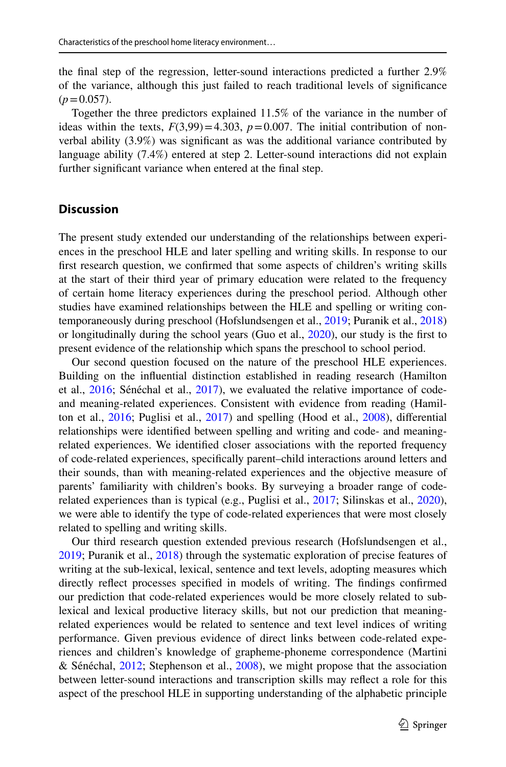the fnal step of the regression, letter-sound interactions predicted a further 2.9% of the variance, although this just failed to reach traditional levels of signifcance  $(p=0.057)$ .

Together the three predictors explained 11.5% of the variance in the number of ideas within the texts,  $F(3,99) = 4.303$ ,  $p = 0.007$ . The initial contribution of nonverbal ability (3.9%) was signifcant as was the additional variance contributed by language ability (7.4%) entered at step 2. Letter-sound interactions did not explain further signifcant variance when entered at the fnal step.

#### **Discussion**

The present study extended our understanding of the relationships between experiences in the preschool HLE and later spelling and writing skills. In response to our frst research question, we confrmed that some aspects of children's writing skills at the start of their third year of primary education were related to the frequency of certain home literacy experiences during the preschool period. Although other studies have examined relationships between the HLE and spelling or writing contemporaneously during preschool (Hofslundsengen et al., [2019;](#page-21-12) Puranik et al., [2018](#page-22-12)) or longitudinally during the school years (Guo et al., [2020](#page-21-11)), our study is the frst to present evidence of the relationship which spans the preschool to school period.

Our second question focused on the nature of the preschool HLE experiences. Building on the infuential distinction established in reading research (Hamilton et al., [2016;](#page-21-1) Sénéchal et al., [2017](#page-22-1)), we evaluated the relative importance of codeand meaning-related experiences. Consistent with evidence from reading (Hamilton et al., [2016](#page-21-1); Puglisi et al., [2017\)](#page-22-9) and spelling (Hood et al., [2008](#page-21-0)), diferential relationships were identifed between spelling and writing and code- and meaningrelated experiences. We identifed closer associations with the reported frequency of code-related experiences, specifcally parent–child interactions around letters and their sounds, than with meaning-related experiences and the objective measure of parents' familiarity with children's books. By surveying a broader range of coderelated experiences than is typical (e.g., Puglisi et al., [2017;](#page-22-9) Silinskas et al., [2020\)](#page-22-16), we were able to identify the type of code-related experiences that were most closely related to spelling and writing skills.

Our third research question extended previous research (Hofslundsengen et al., [2019](#page-21-12); Puranik et al., [2018\)](#page-22-12) through the systematic exploration of precise features of writing at the sub-lexical, lexical, sentence and text levels, adopting measures which directly refect processes specifed in models of writing. The fndings confrmed our prediction that code-related experiences would be more closely related to sublexical and lexical productive literacy skills, but not our prediction that meaningrelated experiences would be related to sentence and text level indices of writing performance. Given previous evidence of direct links between code-related experiences and children's knowledge of grapheme-phoneme correspondence (Martini & Sénéchal,  $2012$ ; Stephenson et al.,  $2008$ ), we might propose that the association between letter-sound interactions and transcription skills may refect a role for this aspect of the preschool HLE in supporting understanding of the alphabetic principle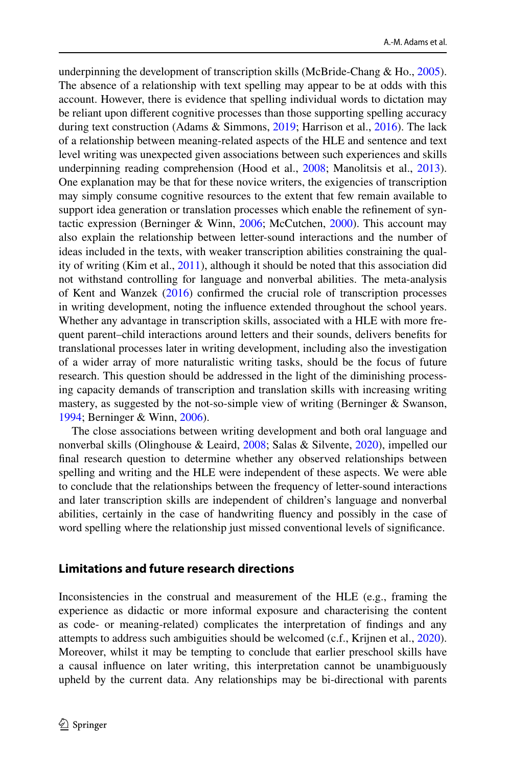underpinning the development of transcription skills (McBride-Chang & Ho., [2005\)](#page-22-17). The absence of a relationship with text spelling may appear to be at odds with this account. However, there is evidence that spelling individual words to dictation may be reliant upon diferent cognitive processes than those supporting spelling accuracy during text construction (Adams & Simmons, [2019](#page-20-11); Harrison et al., [2016](#page-21-17)). The lack of a relationship between meaning-related aspects of the HLE and sentence and text level writing was unexpected given associations between such experiences and skills underpinning reading comprehension (Hood et al., [2008](#page-21-0); Manolitsis et al., [2013\)](#page-21-2). One explanation may be that for these novice writers, the exigencies of transcription may simply consume cognitive resources to the extent that few remain available to support idea generation or translation processes which enable the refnement of syntactic expression (Berninger & Winn, [2006;](#page-20-1) McCutchen, [2000\)](#page-22-18). This account may also explain the relationship between letter-sound interactions and the number of ideas included in the texts, with weaker transcription abilities constraining the quality of writing (Kim et al., [2011](#page-21-5)), although it should be noted that this association did not withstand controlling for language and nonverbal abilities. The meta-analysis of Kent and Wanzek [\(2016](#page-21-18)) confrmed the crucial role of transcription processes in writing development, noting the infuence extended throughout the school years. Whether any advantage in transcription skills, associated with a HLE with more frequent parent–child interactions around letters and their sounds, delivers benefts for translational processes later in writing development, including also the investigation of a wider array of more naturalistic writing tasks, should be the focus of future research. This question should be addressed in the light of the diminishing processing capacity demands of transcription and translation skills with increasing writing mastery, as suggested by the not-so-simple view of writing (Berninger & Swanson, [1994](#page-20-12); Berninger & Winn, [2006](#page-20-1)).

The close associations between writing development and both oral language and nonverbal skills (Olinghouse & Leaird, [2008](#page-22-6); Salas & Silvente, [2020\)](#page-22-7), impelled our fnal research question to determine whether any observed relationships between spelling and writing and the HLE were independent of these aspects. We were able to conclude that the relationships between the frequency of letter-sound interactions and later transcription skills are independent of children's language and nonverbal abilities, certainly in the case of handwriting fuency and possibly in the case of word spelling where the relationship just missed conventional levels of signifcance.

#### **Limitations and future research directions**

Inconsistencies in the construal and measurement of the HLE (e.g., framing the experience as didactic or more informal exposure and characterising the content as code- or meaning-related) complicates the interpretation of fndings and any attempts to address such ambiguities should be welcomed (c.f., Krijnen et al., [2020\)](#page-21-3). Moreover, whilst it may be tempting to conclude that earlier preschool skills have a causal infuence on later writing, this interpretation cannot be unambiguously upheld by the current data. Any relationships may be bi-directional with parents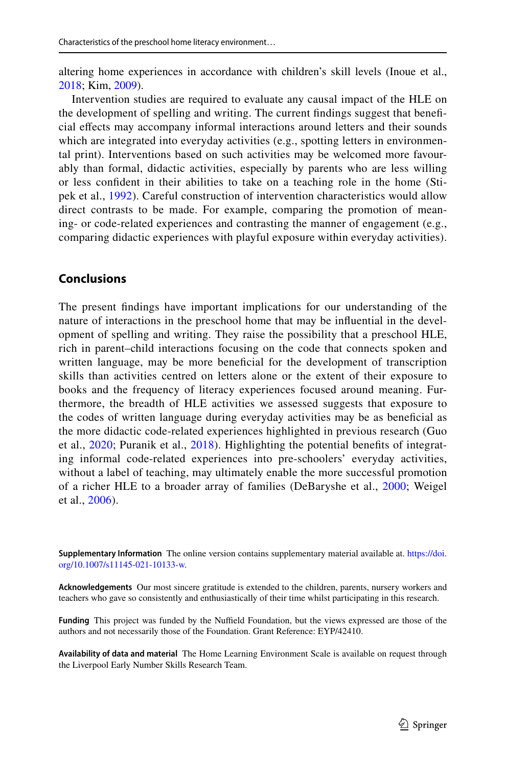altering home experiences in accordance with children's skill levels (Inoue et al., [2018](#page-21-13); Kim, [2009](#page-21-19)).

Intervention studies are required to evaluate any causal impact of the HLE on the development of spelling and writing. The current fndings suggest that benefcial efects may accompany informal interactions around letters and their sounds which are integrated into everyday activities (e.g., spotting letters in environmental print). Interventions based on such activities may be welcomed more favourably than formal, didactic activities, especially by parents who are less willing or less confdent in their abilities to take on a teaching role in the home (Stipek et al., [1992\)](#page-22-19). Careful construction of intervention characteristics would allow direct contrasts to be made. For example, comparing the promotion of meaning- or code-related experiences and contrasting the manner of engagement (e.g., comparing didactic experiences with playful exposure within everyday activities).

## **Conclusions**

The present fndings have important implications for our understanding of the nature of interactions in the preschool home that may be infuential in the development of spelling and writing. They raise the possibility that a preschool HLE, rich in parent–child interactions focusing on the code that connects spoken and written language, may be more beneficial for the development of transcription skills than activities centred on letters alone or the extent of their exposure to books and the frequency of literacy experiences focused around meaning. Furthermore, the breadth of HLE activities we assessed suggests that exposure to the codes of written language during everyday activities may be as benefcial as the more didactic code-related experiences highlighted in previous research (Guo et al., [2020;](#page-21-11) Puranik et al., [2018](#page-22-12)). Highlighting the potential benefts of integrating informal code-related experiences into pre-schoolers' everyday activities, without a label of teaching, may ultimately enable the more successful promotion of a richer HLE to a broader array of families (DeBaryshe et al., [2000;](#page-20-13) Weigel et al., [2006](#page-23-3)).

**Supplementary Information** The online version contains supplementary material available at. [https://doi.](https://doi.org/10.1007/s11145-021-10133-w) [org/10.1007/s11145-021-10133-w](https://doi.org/10.1007/s11145-021-10133-w).

**Acknowledgements** Our most sincere gratitude is extended to the children, parents, nursery workers and teachers who gave so consistently and enthusiastically of their time whilst participating in this research.

Funding This project was funded by the Nuffield Foundation, but the views expressed are those of the authors and not necessarily those of the Foundation. Grant Reference: EYP/42410.

**Availability of data and material** The Home Learning Environment Scale is available on request through the Liverpool Early Number Skills Research Team.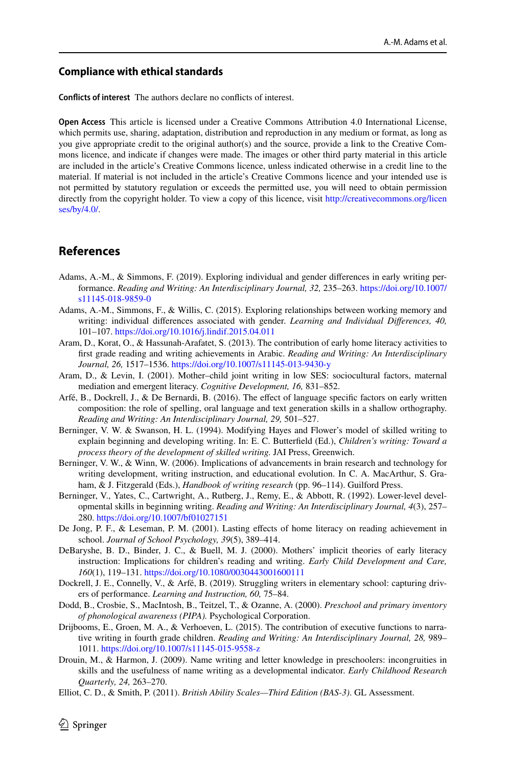#### **Compliance with ethical standards**

**Conficts of interest** The authors declare no conficts of interest.

**Open Access** This article is licensed under a Creative Commons Attribution 4.0 International License, which permits use, sharing, adaptation, distribution and reproduction in any medium or format, as long as you give appropriate credit to the original author(s) and the source, provide a link to the Creative Commons licence, and indicate if changes were made. The images or other third party material in this article are included in the article's Creative Commons licence, unless indicated otherwise in a credit line to the material. If material is not included in the article's Creative Commons licence and your intended use is not permitted by statutory regulation or exceeds the permitted use, you will need to obtain permission directly from the copyright holder. To view a copy of this licence, visit [http://creativecommons.org/licen](http://creativecommons.org/licenses/by/4.0/) [ses/by/4.0/](http://creativecommons.org/licenses/by/4.0/).

# **References**

- <span id="page-20-11"></span>Adams, A.-M., & Simmons, F. (2019). Exploring individual and gender diferences in early writing performance. *Reading and Writing: An Interdisciplinary Journal, 32,* 235–263. [https://doi.org/10.1007/](https://doi.org/10.1007/s11145-018-9859-0) [s11145-018-9859-0](https://doi.org/10.1007/s11145-018-9859-0)
- <span id="page-20-7"></span>Adams, A.-M., Simmons, F., & Willis, C. (2015). Exploring relationships between working memory and writing: individual diferences associated with gender. *Learning and Individual Diferences, 40,* 101–107.<https://doi.org/10.1016/j.lindif.2015.04.011>
- <span id="page-20-6"></span>Aram, D., Korat, O., & Hassunah-Arafatet, S. (2013). The contribution of early home literacy activities to frst grade reading and writing achievements in Arabic. *Reading and Writing: An Interdisciplinary Journal, 26,* 1517–1536.<https://doi.org/10.1007/s11145-013-9430-y>
- Aram, D., & Levin, I. (2001). Mother–child joint writing in low SES: sociocultural factors, maternal mediation and emergent literacy. *Cognitive Development, 16,* 831–852.
- <span id="page-20-4"></span>Arfé, B., Dockrell, J., & De Bernardi, B. (2016). The efect of language specifc factors on early written composition: the role of spelling, oral language and text generation skills in a shallow orthography. *Reading and Writing: An Interdisciplinary Journal, 29,* 501–527.
- <span id="page-20-12"></span>Berninger, V. W. & Swanson, H. L. (1994). Modifying Hayes and Flower's model of skilled writing to explain beginning and developing writing. In: E. C. Butterfeld (Ed.), *Children's writing: Toward a process theory of the development of skilled writing.* JAI Press, Greenwich.
- <span id="page-20-1"></span>Berninger, V. W., & Winn, W. (2006). Implications of advancements in brain research and technology for writing development, writing instruction, and educational evolution. In C. A. MacArthur, S. Graham, & J. Fitzgerald (Eds.), *Handbook of writing research* (pp. 96–114). Guilford Press.
- <span id="page-20-2"></span>Berninger, V., Yates, C., Cartwright, A., Rutberg, J., Remy, E., & Abbott, R. (1992). Lower-level developmental skills in beginning writing. *Reading and Writing: An Interdisciplinary Journal, 4*(3), 257– 280.<https://doi.org/10.1007/bf01027151>
- <span id="page-20-0"></span>De Jong, P. F., & Leseman, P. M. (2001). Lasting efects of home literacy on reading achievement in school. *Journal of School Psychology, 39*(5), 389–414.
- <span id="page-20-13"></span>DeBaryshe, B. D., Binder, J. C., & Buell, M. J. (2000). Mothers' implicit theories of early literacy instruction: Implications for children's reading and writing. *Early Child Development and Care, 160*(1), 119–131.<https://doi.org/10.1080/0030443001600111>
- <span id="page-20-8"></span>Dockrell, J. E., Connelly, V., & Arfé, B. (2019). Struggling writers in elementary school: capturing drivers of performance. *Learning and Instruction, 60,* 75–84.
- <span id="page-20-9"></span>Dodd, B., Crosbie, S., MacIntosh, B., Teitzel, T., & Ozanne, A. (2000). *Preschool and primary inventory of phonological awareness (PIPA).* Psychological Corporation.
- <span id="page-20-3"></span>Drijbooms, E., Groen, M. A., & Verhoeven, L. (2015). The contribution of executive functions to narrative writing in fourth grade children. *Reading and Writing: An Interdisciplinary Journal, 28,* 989– 1011.<https://doi.org/10.1007/s11145-015-9558-z>
- <span id="page-20-5"></span>Drouin, M., & Harmon, J. (2009). Name writing and letter knowledge in preschoolers: incongruities in skills and the usefulness of name writing as a developmental indicator. *Early Childhood Research Quarterly, 24,* 263–270.
- <span id="page-20-10"></span>Elliot, C. D., & Smith, P. (2011). *British Ability Scales—Third Edition (BAS-3)*. GL Assessment.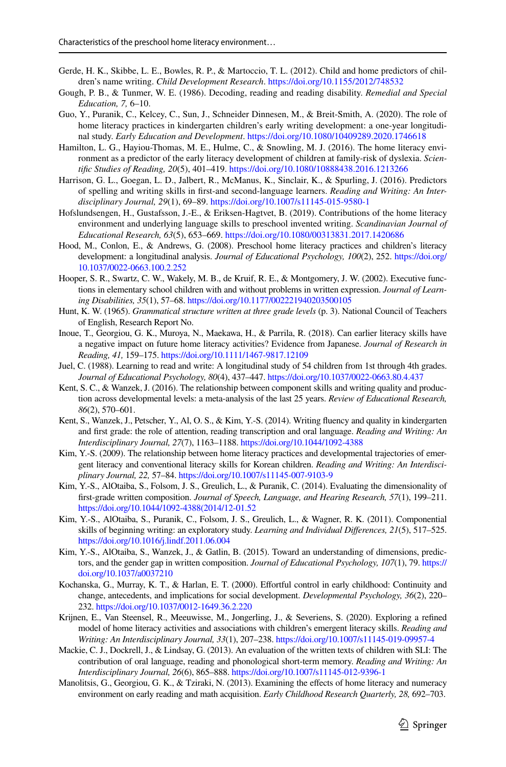- <span id="page-21-10"></span>Gerde, H. K., Skibbe, L. E., Bowles, R. P., & Martoccio, T. L. (2012). Child and home predictors of children's name writing. *Child Development Research*. <https://doi.org/10.1155/2012/748532>
- <span id="page-21-6"></span>Gough, P. B., & Tunmer, W. E. (1986). Decoding, reading and reading disability. *Remedial and Special Education, 7,* 6–10.
- <span id="page-21-11"></span>Guo, Y., Puranik, C., Kelcey, C., Sun, J., Schneider Dinnesen, M., & Breit-Smith, A. (2020). The role of home literacy practices in kindergarten children's early writing development: a one-year longitudinal study. *Early Education and Development*.<https://doi.org/10.1080/10409289.2020.1746618>
- <span id="page-21-1"></span>Hamilton, L. G., Hayiou-Thomas, M. E., Hulme, C., & Snowling, M. J. (2016). The home literacy environment as a predictor of the early literacy development of children at family-risk of dyslexia. *Scientifc Studies of Reading, 20*(5), 401–419.<https://doi.org/10.1080/10888438.2016.1213266>
- <span id="page-21-17"></span>Harrison, G. L., Goegan, L. D., Jalbert, R., McManus, K., Sinclair, K., & Spurling, J. (2016). Predictors of spelling and writing skills in frst-and second-language learners. *Reading and Writing: An Interdisciplinary Journal, 29*(1), 69–89. <https://doi.org/10.1007/s11145-015-9580-1>
- <span id="page-21-12"></span>Hofslundsengen, H., Gustafsson, J.-E., & Eriksen-Hagtvet, B. (2019). Contributions of the home literacy environment and underlying language skills to preschool invented writing. *Scandinavian Journal of Educational Research, 63*(5), 653–669. <https://doi.org/10.1080/00313831.2017.1420686>
- <span id="page-21-0"></span>Hood, M., Conlon, E., & Andrews, G. (2008). Preschool home literacy practices and children's literacy development: a longitudinal analysis. *Journal of Educational Psychology, 100*(2), 252. [https://doi.org/](https://doi.org/10.1037/0022-0663.100.2.252) [10.1037/0022-0663.100.2.252](https://doi.org/10.1037/0022-0663.100.2.252)
- <span id="page-21-16"></span>Hooper, S. R., Swartz, C. W., Wakely, M. B., de Kruif, R. E., & Montgomery, J. W. (2002). Executive functions in elementary school children with and without problems in written expression. *Journal of Learning Disabilities, 35*(1), 57–68.<https://doi.org/10.1177/002221940203500105>
- <span id="page-21-15"></span>Hunt, K. W. (1965). *Grammatical structure written at three grade levels* (p. 3). National Council of Teachers of English, Research Report No.
- <span id="page-21-13"></span>Inoue, T., Georgiou, G. K., Muroya, N., Maekawa, H., & Parrila, R. (2018). Can earlier literacy skills have a negative impact on future home literacy activities? Evidence from Japanese. *Journal of Research in Reading, 41,* 159–175.<https://doi.org/10.1111/1467-9817.12109>
- <span id="page-21-7"></span>Juel, C. (1988). Learning to read and write: A longitudinal study of 54 children from 1st through 4th grades. *Journal of Educational Psychology, 80*(4), 437–447. <https://doi.org/10.1037/0022-0663.80.4.437>
- <span id="page-21-18"></span>Kent, S. C., & Wanzek, J. (2016). The relationship between component skills and writing quality and production across developmental levels: a meta-analysis of the last 25 years. *Review of Educational Research, 86*(2), 570–601.
- <span id="page-21-4"></span>Kent, S., Wanzek, J., Petscher, Y., Al, O. S., & Kim, Y.-S. (2014). Writing fuency and quality in kindergarten and frst grade: the role of attention, reading transcription and oral language. *Reading and Writing: An Interdisciplinary Journal, 27*(7), 1163–1188.<https://doi.org/10.1044/1092-4388>
- <span id="page-21-19"></span>Kim, Y.-S. (2009). The relationship between home literacy practices and developmental trajectories of emergent literacy and conventional literacy skills for Korean children. *Reading and Writing: An Interdisciplinary Journal, 22,* 57–84.<https://doi.org/10.1007/s11145-007-9103-9>
- Kim, Y.-S., AlOtaiba, S., Folsom, J. S., Greulich, L., & Puranik, C. (2014). Evaluating the dimensionality of frst-grade written composition. *Journal of Speech, Language, and Hearing Research, 57*(1), 199–211. [https://doi.org/10.1044/1092-4388\(2014/12-01.52](https://doi.org/10.1044/1092-4388(2014/12-01.52)
- <span id="page-21-5"></span>Kim, Y.-S., AlOtaiba, S., Puranik, C., Folsom, J. S., Greulich, L., & Wagner, R. K. (2011). Componential skills of beginning writing: an exploratory study. *Learning and Individual Diferences, 21*(5), 517–525. <https://doi.org/10.1016/j.lindf.2011.06.004>
- <span id="page-21-8"></span>Kim, Y.-S., AlOtaiba, S., Wanzek, J., & Gatlin, B. (2015). Toward an understanding of dimensions, predictors, and the gender gap in written composition. *Journal of Educational Psychology, 107*(1), 79. [https://](https://doi.org/10.1037/a0037210) [doi.org/10.1037/a0037210](https://doi.org/10.1037/a0037210)
- <span id="page-21-14"></span>Kochanska, G., Murray, K. T., & Harlan, E. T. (2000). Efortful control in early childhood: Continuity and change, antecedents, and implications for social development. *Developmental Psychology, 36*(2), 220– 232.<https://doi.org/10.1037/0012-1649.36.2.220>
- <span id="page-21-3"></span>Krijnen, E., Van Steensel, R., Meeuwisse, M., Jongerling, J., & Severiens, S. (2020). Exploring a refned model of home literacy activities and associations with children's emergent literacy skills. *Reading and Writing: An Interdisciplinary Journal, 33*(1), 207–238. <https://doi.org/10.1007/s11145-019-09957-4>
- <span id="page-21-9"></span>Mackie, C. J., Dockrell, J., & Lindsay, G. (2013). An evaluation of the written texts of children with SLI: The contribution of oral language, reading and phonological short-term memory. *Reading and Writing: An Interdisciplinary Journal, 26*(6), 865–888.<https://doi.org/10.1007/s11145-012-9396-1>
- <span id="page-21-2"></span>Manolitsis, G., Georgiou, G. K., & Tziraki, N. (2013). Examining the effects of home literacy and numeracy environment on early reading and math acquisition. *Early Childhood Research Quarterly, 28,* 692–703.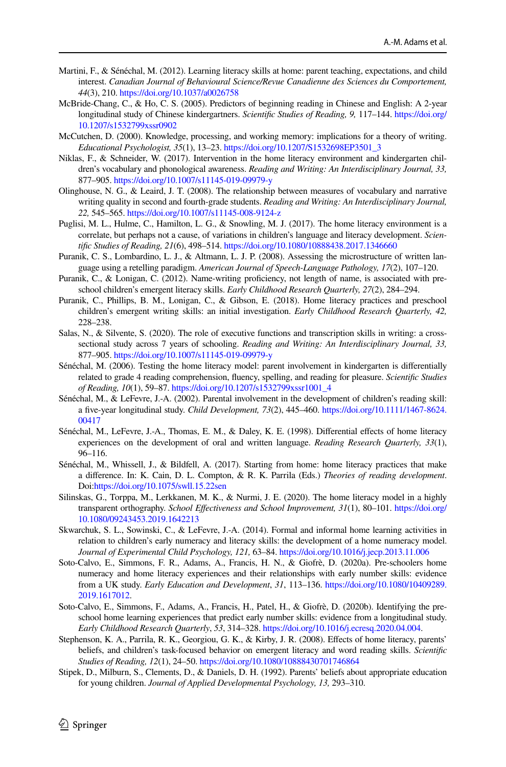- <span id="page-22-3"></span>Martini, F., & Sénéchal, M. (2012). Learning literacy skills at home: parent teaching, expectations, and child interest. *Canadian Journal of Behavioural Science/Revue Canadienne des Sciences du Comportement, 44*(3), 210.<https://doi.org/10.1037/a0026758>
- <span id="page-22-17"></span>McBride-Chang, C., & Ho, C. S. (2005). Predictors of beginning reading in Chinese and English: A 2-year longitudinal study of Chinese kindergartners. *Scientifc Studies of Reading, 9,* 117–144. [https://doi.org/](https://doi.org/10.1207/s1532799xssr0902) [10.1207/s1532799xssr0902](https://doi.org/10.1207/s1532799xssr0902)
- <span id="page-22-18"></span>McCutchen, D. (2000). Knowledge, processing, and working memory: implications for a theory of writing. *Educational Psychologist, 35*(1), 13–23. [https://doi.org/10.1207/S1532698EP3501\\_3](https://doi.org/10.1207/S1532698EP3501_3)
- <span id="page-22-0"></span>Niklas, F., & Schneider, W. (2017). Intervention in the home literacy environment and kindergarten children's vocabulary and phonological awareness. *Reading and Writing: An Interdisciplinary Journal, 33,* 877–905.<https://doi.org/10.1007/s11145-019-09979-y>
- <span id="page-22-6"></span>Olinghouse, N. G., & Leaird, J. T. (2008). The relationship between measures of vocabulary and narrative writing quality in second and fourth-grade students. *Reading and Writing: An Interdisciplinary Journal, 22,* 545–565. <https://doi.org/10.1007/s11145-008-9124-z>
- <span id="page-22-9"></span>Puglisi, M. L., Hulme, C., Hamilton, L. G., & Snowling, M. J. (2017). The home literacy environment is a correlate, but perhaps not a cause, of variations in children's language and literacy development. *Scientifc Studies of Reading, 21*(6), 498–514. <https://doi.org/10.1080/10888438.2017.1346660>
- <span id="page-22-8"></span>Puranik, C. S., Lombardino, L. J., & Altmann, L. J. P. (2008). Assessing the microstructure of written language using a retelling paradigm. *American Journal of Speech-Language Pathology, 17*(2), 107–120.
- <span id="page-22-11"></span>Puranik, C., & Lonigan, C. (2012). Name-writing proficiency, not length of name, is associated with preschool children's emergent literacy skills. *Early Childhood Research Quarterly, 27*(2), 284–294.
- <span id="page-22-12"></span>Puranik, C., Phillips, B. M., Lonigan, C., & Gibson, E. (2018). Home literacy practices and preschool children's emergent writing skills: an initial investigation. *Early Childhood Research Quarterly, 42,* 228–238.
- <span id="page-22-7"></span>Salas, N., & Silvente, S. (2020). The role of executive functions and transcription skills in writing: a crosssectional study across 7 years of schooling. *Reading and Writing: An Interdisciplinary Journal, 33,* 877–905.<https://doi.org/10.1007/s11145-019-09979-y>
- <span id="page-22-4"></span>Sénéchal, M. (2006). Testing the home literacy model: parent involvement in kindergarten is diferentially related to grade 4 reading comprehension, fuency, spelling, and reading for pleasure. *Scientifc Studies of Reading, 10*(1), 59–87. [https://doi.org/10.1207/s1532799xssr1001\\_4](https://doi.org/10.1207/s1532799xssr1001_4)
- <span id="page-22-2"></span>Sénéchal, M., & LeFevre, J.-A. (2002). Parental involvement in the development of children's reading skill: a fve-year longitudinal study. *Child Development, 73*(2), 445–460. [https://doi.org/10.1111/1467-8624.](https://doi.org/10.1111/1467-8624.00417) [00417](https://doi.org/10.1111/1467-8624.00417)
- <span id="page-22-10"></span>Sénéchal, M., LeFevre, J.-A., Thomas, E. M., & Daley, K. E. (1998). Diferential efects of home literacy experiences on the development of oral and written language. *Reading Research Quarterly, 33*(1), 96–116.
- <span id="page-22-1"></span>Sénéchal, M., Whissell, J., & Bildfell, A. (2017). Starting from home: home literacy practices that make a diference. In: K. Cain, D. L. Compton, & R. K. Parrila (Eds.) *Theories of reading development*. Doi:<https://doi.org/10.1075/swll.15.22sen>
- <span id="page-22-16"></span>Silinskas, G., Torppa, M., Lerkkanen, M. K., & Nurmi, J. E. (2020). The home literacy model in a highly transparent orthography. *School Efectiveness and School Improvement, 31*(1), 80–101. [https://doi.org/](https://doi.org/10.1080/09243453.2019.1642213) [10.1080/09243453.2019.1642213](https://doi.org/10.1080/09243453.2019.1642213)
- <span id="page-22-5"></span>Skwarchuk, S. L., Sowinski, C., & LeFevre, J.-A. (2014). Formal and informal home learning activities in relation to children's early numeracy and literacy skills: the development of a home numeracy model. *Journal of Experimental Child Psychology, 121,* 63–84. <https://doi.org/10.1016/j.jecp.2013.11.006>
- <span id="page-22-14"></span>Soto-Calvo, E., Simmons, F. R., Adams, A., Francis, H. N., & Giofrè, D. (2020a). Pre-schoolers home numeracy and home literacy experiences and their relationships with early number skills: evidence from a UK study. *Early Education and Development*, *31*, 113–136. [https://doi.org/10.1080/10409289.](https://doi.org/10.1080/10409289.2019.1617012) [2019.1617012.](https://doi.org/10.1080/10409289.2019.1617012)
- <span id="page-22-15"></span>Soto-Calvo, E., Simmons, F., Adams, A., Francis, H., Patel, H., & Giofrè, D. (2020b). Identifying the preschool home learning experiences that predict early number skills: evidence from a longitudinal study. *Early Childhood Research Quarterly*, *53*, 314–328. [https://doi.org/10.1016/j.ecresq.2020.04.004.](https://doi.org/10.1016/j.ecresq.2020.04.004)
- <span id="page-22-13"></span>Stephenson, K. A., Parrila, R. K., Georgiou, G. K., & Kirby, J. R. (2008). Efects of home literacy, parents' beliefs, and children's task-focused behavior on emergent literacy and word reading skills. *Scientifc Studies of Reading, 12*(1), 24–50.<https://doi.org/10.1080/10888430701746864>
- <span id="page-22-19"></span>Stipek, D., Milburn, S., Clements, D., & Daniels, D. H. (1992). Parents' beliefs about appropriate education for young children. *Journal of Applied Developmental Psychology, 13,* 293–310.